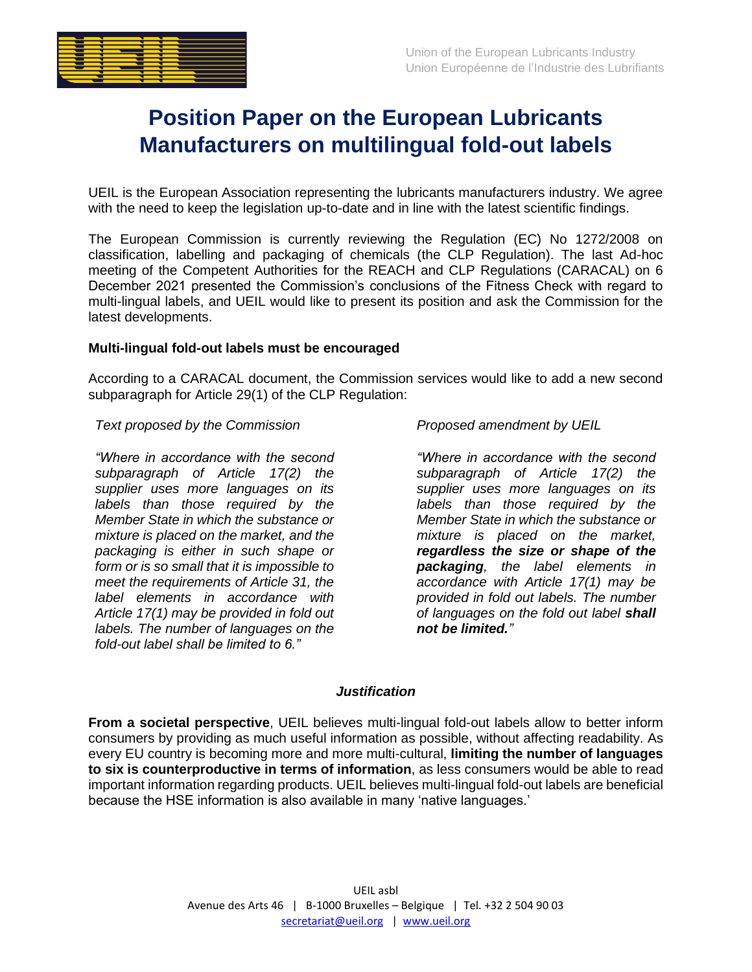

# **Position Paper on the European Lubricants Manufacturers on multilingual fold-out labels**

UEIL is the European Association representing the lubricants manufacturers industry. We agree with the need to keep the legislation up-to-date and in line with the latest scientific findings.

The European Commission is currently reviewing the Regulation (EC) No 1272/2008 on classification, labelling and packaging of chemicals (the CLP Regulation). The last Ad-hoc meeting of the Competent Authorities for the REACH and CLP Regulations (CARACAL) on 6 December 2021 presented the Commission's conclusions of the Fitness Check with regard to multi-lingual labels, and UEIL would like to present its position and ask the Commission for the latest developments.

# **Multi-lingual fold-out labels must be encouraged**

According to a CARACAL document, the Commission services would like to add a new second subparagraph for Article 29(1) of the CLP Regulation:

### *Text proposed by the Commission Proposed amendment by UEIL*

*"Where in accordance with the second subparagraph of Article 17(2) the supplier uses more languages on its labels than those required by the Member State in which the substance or mixture is placed on the market, and the packaging is either in such shape or form or is so small that it is impossible to meet the requirements of Article 31, the label elements in accordance with Article 17(1) may be provided in fold out labels. The number of languages on the fold-out label shall be limited to 6."*

*"Where in accordance with the second subparagraph of Article 17(2) the supplier uses more languages on its labels than those required by the Member State in which the substance or mixture is placed on the market, regardless the size or shape of the packaging, the label elements in accordance with Article 17(1) may be provided in fold out labels. The number of languages on the fold out label shall not be limited."*

#### *Justification*

**From a societal perspective**, UEIL believes multi-lingual fold-out labels allow to better inform consumers by providing as much useful information as possible, without affecting readability. As every EU country is becoming more and more multi-cultural, **limiting the number of languages to six is counterproductive in terms of information**, as less consumers would be able to read important information regarding products. UEIL believes multi-lingual fold-out labels are beneficial because the HSE information is also available in many 'native languages.'